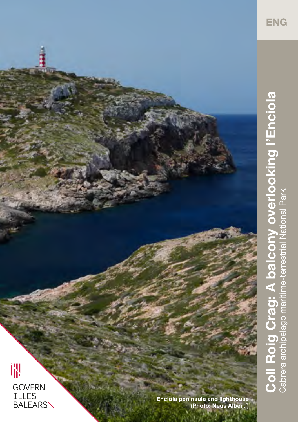

## **Coll Roig Crag: A balcony overlooking l'Enciola**  Coll Roig Crag: A balcony overlooking l'Enciola Cabrera archipelago maritime-terrestrial National Park Cabrera archipelago maritime-terrestrial National Park

哪 GOVERN<br>ILLES<br>BALEARS\

**Enciola peninsula and lighthouse (Photo: Neus Albertí)**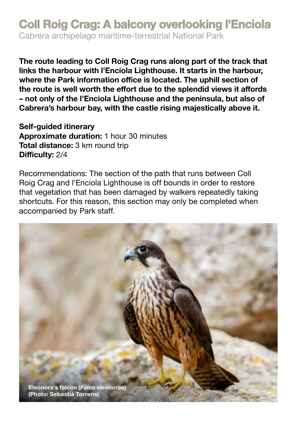## **Coll Roig Crag: A balcony overlooking l'Enciola**

Cabrera archipelago maritime-terrestrial National Park

**The route leading to Coll Roig Crag runs along part of the track that links the harbour with l'Enciola Lighthouse. It starts in the harbour, where the Park information office is located. The uphill section of the route is well worth the effort due to the splendid views it affords – not only of the l'Enciola Lighthouse and the peninsula, but also of Cabrera's harbour bay, with the castle rising majestically above it.** 

**Self-guided itinerary Approximate duration:** 1 hour 30 minutes **Total distance:** 3 km round trip **Difficulty:** 2/4

Recommendations: The section of the path that runs between Coll Roig Crag and l'Enciola Lighthouse is off bounds in order to restore that vegetation that has been damaged by walkers repeatedly taking shortcuts. For this reason, this section may only be completed when accompanied by Park staff.

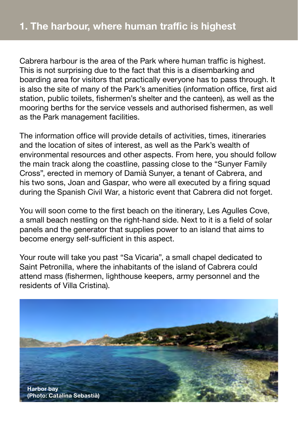Cabrera harbour is the area of the Park where human traffic is highest. This is not surprising due to the fact that this is a disembarking and boarding area for visitors that practically everyone has to pass through. It is also the site of many of the Park's amenities (information office, first aid station, public toilets, fishermen's shelter and the canteen), as well as the mooring berths for the service vessels and authorised fishermen, as well as the Park management facilities.

The information office will provide details of activities, times, itineraries and the location of sites of interest, as well as the Park's wealth of environmental resources and other aspects. From here, you should follow the main track along the coastline, passing close to the "Sunyer Family Cross", erected in memory of Damià Sunyer, a tenant of Cabrera, and his two sons, Joan and Gaspar, who were all executed by a firing squad during the Spanish Civil War, a historic event that Cabrera did not forget.

You will soon come to the first beach on the itinerary, Les Agulles Cove, a small beach nestling on the right-hand side. Next to it is a field of solar panels and the generator that supplies power to an island that aims to become energy self-sufficient in this aspect.

Your route will take you past "Sa Vicaria", a small chapel dedicated to Saint Petronilla, where the inhabitants of the island of Cabrera could attend mass (fishermen, lighthouse keepers, army personnel and the residents of Villa Cristina).

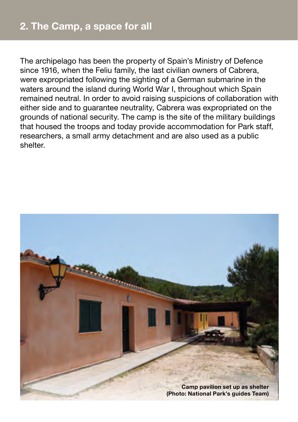The archipelago has been the property of Spain's Ministry of Defence since 1916, when the Feliu family, the last civilian owners of Cabrera, were expropriated following the sighting of a German submarine in the waters around the island during World War I, throughout which Spain remained neutral. In order to avoid raising suspicions of collaboration with either side and to guarantee neutrality, Cabrera was expropriated on the grounds of national security. The camp is the site of the military buildings that housed the troops and today provide accommodation for Park staff, researchers, a small army detachment and are also used as a public shelter.

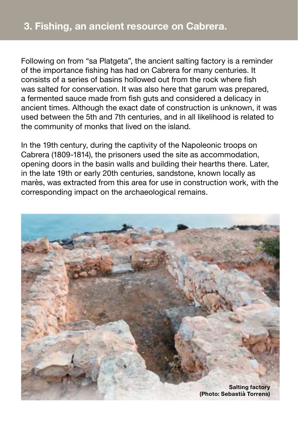Following on from "sa Platgeta", the ancient salting factory is a reminder of the importance fishing has had on Cabrera for many centuries. It consists of a series of basins hollowed out from the rock where fish was salted for conservation. It was also here that garum was prepared, a fermented sauce made from fish guts and considered a delicacy in ancient times. Although the exact date of construction is unknown, it was used between the 5th and 7th centuries, and in all likelihood is related to the community of monks that lived on the island.

In the 19th century, during the captivity of the Napoleonic troops on Cabrera (1809-1814), the prisoners used the site as accommodation, opening doors in the basin walls and building their hearths there. Later, in the late 19th or early 20th centuries, sandstone, known locally as marès, was extracted from this area for use in construction work, with the corresponding impact on the archaeological remains.

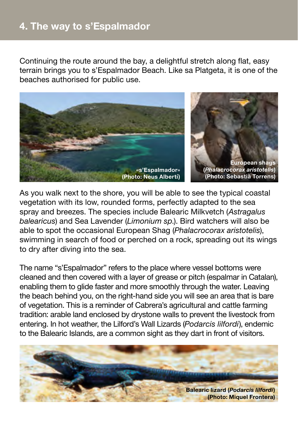Continuing the route around the bay, a delightful stretch along flat, easy terrain brings you to s'Espalmador Beach. Like sa Platgeta, it is one of the beaches authorised for public use.



As you walk next to the shore, you will be able to see the typical coastal vegetation with its low, rounded forms, perfectly adapted to the sea spray and breezes. The species include Balearic Milkvetch (*Astragalus balearicus*) and Sea Lavender (*Limonium sp*.). Bird watchers will also be able to spot the occasional European Shag (*Phalacrocorax aristotelis*), swimming in search of food or perched on a rock, spreading out its wings to dry after diving into the sea.

The name "s'Espalmador" refers to the place where vessel bottoms were cleaned and then covered with a layer of grease or pitch (espalmar in Catalan), enabling them to glide faster and more smoothly through the water. Leaving the beach behind you, on the right-hand side you will see an area that is bare of vegetation. This is a reminder of Cabrera's agricultural and cattle farming tradition: arable land enclosed by drystone walls to prevent the livestock from entering. In hot weather, the Lilford's Wall Lizards (*Podarcis lilfordi*), endemic to the Balearic Islands, are a common sight as they dart in front of visitors.

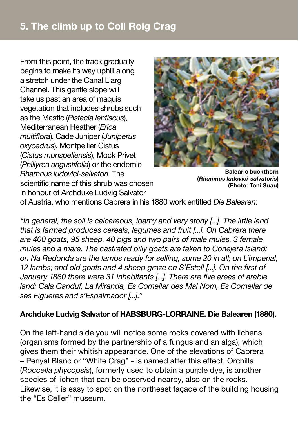## **5. The climb up to Coll Roig Crag**

From this point, the track gradually begins to make its way uphill along a stretch under the Canal Llarg Channel. This gentle slope will take us past an area of maquis vegetation that includes shrubs such as the Mastic (*Pistacia lentiscus*), Mediterranean Heather (*Erica multiflora*), Cade Juniper (*Juniperus oxycedrus*), Montpellier Cistus (*Cistus monspeliensis*), Mock Privet (*Phillyrea angustifolia*) or the endemic *Rhamnus ludovici-salvatori*. The scientific name of this shrub was chosen in honour of Archduke Ludvig Salvator



**Balearic buckthorn (***Rhamnus ludovici-salvatoris***) (Photo: Toni Suau)**

of Austria, who mentions Cabrera in his 1880 work entitled *Die Balearen*:

*"In general, the soil is calcareous, loamy and very stony [...]. The little land that is farmed produces cereals, legumes and fruit [...]. On Cabrera there are 400 goats, 95 sheep, 40 pigs and two pairs of male mules, 3 female mules and a mare. The castrated billy goats are taken to Conejera Island; on Na Redonda are the lambs ready for selling, some 20 in all; on L'Imperial, 12 lambs; and old goats and 4 sheep graze on S'Estell [...]. On the first of January 1880 there were 31 inhabitants [...]. There are five areas of arable land: Cala Ganduf, La Miranda, Es Comellar des Mal Nom, Es Comellar de ses Figueres and s'Espalmador [...]."*

## **Archduke Ludvig Salvator of HABSBURG-LORRAINE. Die Balearen (1880).**

On the left-hand side you will notice some rocks covered with lichens (organisms formed by the partnership of a fungus and an alga), which gives them their whitish appearance. One of the elevations of Cabrera – Penyal Blanc or "White Crag" - is named after this effect. Orchilla (*Roccella phycopsis*), formerly used to obtain a purple dye, is another species of lichen that can be observed nearby, also on the rocks. Likewise, it is easy to spot on the northeast façade of the building housing the "Es Celler" museum.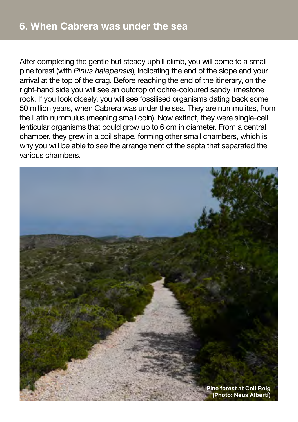After completing the gentle but steady uphill climb, you will come to a small pine forest (with *Pinus halepensis*), indicating the end of the slope and your arrival at the top of the crag. Before reaching the end of the itinerary, on the right-hand side you will see an outcrop of ochre-coloured sandy limestone rock. If you look closely, you will see fossilised organisms dating back some 50 million years, when Cabrera was under the sea. They are nummulites, from the Latin nummulus (meaning small coin). Now extinct, they were single-cell lenticular organisms that could grow up to 6 cm in diameter. From a central chamber, they grew in a coil shape, forming other small chambers, which is why you will be able to see the arrangement of the septa that separated the various chambers.

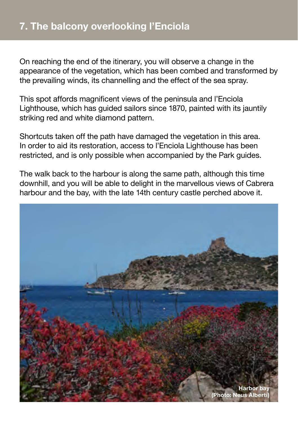On reaching the end of the itinerary, you will observe a change in the appearance of the vegetation, which has been combed and transformed by the prevailing winds, its channelling and the effect of the sea spray.

This spot affords magnificent views of the peninsula and l'Enciola Lighthouse, which has guided sailors since 1870, painted with its jauntily striking red and white diamond pattern.

Shortcuts taken off the path have damaged the vegetation in this area. In order to aid its restoration, access to l'Enciola Lighthouse has been restricted, and is only possible when accompanied by the Park guides.

The walk back to the harbour is along the same path, although this time downhill, and you will be able to delight in the marvellous views of Cabrera harbour and the bay, with the late 14th century castle perched above it.